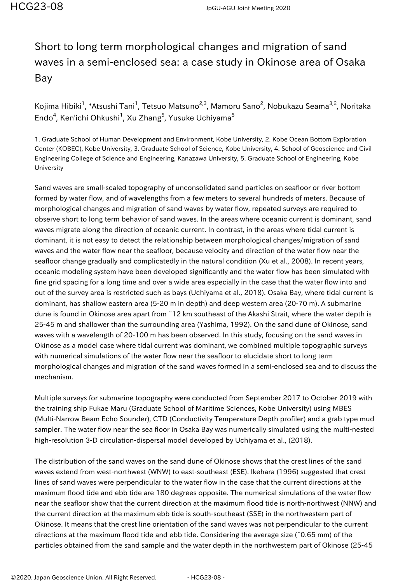## Short to long term morphological changes and migration of sand waves in a semi-enclosed sea: a case study in Okinose area of Osaka Bay

Kojima Hibiki<sup>1</sup>, \*Atsushi Tani<sup>1</sup>, Tetsuo Matsuno<sup>2,3</sup>, Mamoru Sano<sup>2</sup>, Nobukazu Seama<sup>3,2</sup>, Noritaka Endo<sup>4</sup>, Ken'ichi Ohkushi<sup>1</sup>, Xu Zhang<sup>5</sup>, Yusuke Uchiyama<sup>5</sup>

1. Graduate School of Human Development and Environment, Kobe University, 2. Kobe Ocean Bottom Exploration Center (KOBEC), Kobe University, 3. Graduate School of Science, Kobe University, 4. School of Geoscience and Civil Engineering College of Science and Engineering, Kanazawa University, 5. Graduate School of Engineering, Kobe University

Sand waves are small-scaled topography of unconsolidated sand particles on seafloor or river bottom formed by water flow, and of wavelengths from a few meters to several hundreds of meters. Because of morphological changes and migration of sand waves by water flow, repeated surveys are required to observe short to long term behavior of sand waves. In the areas where oceanic current is dominant, sand waves migrate along the direction of oceanic current. In contrast, in the areas where tidal current is dominant, it is not easy to detect the relationship between morphological changes/migration of sand waves and the water flow near the seafloor, because velocity and direction of the water flow near the seafloor change gradually and complicatedly in the natural condition (Xu et al., 2008). In recent years, oceanic modeling system have been developed significantly and the water flow has been simulated with fine grid spacing for a long time and over a wide area especially in the case that the water flow into and out of the survey area is restricted such as bays (Uchiyama et al., 2018). Osaka Bay, where tidal current is dominant, has shallow eastern area (5-20 m in depth) and deep western area (20-70 m). A submarine dune is found in Okinose area apart from ~12 km southeast of the Akashi Strait, where the water depth is 25-45 m and shallower than the surrounding area (Yashima, 1992). On the sand dune of Okinose, sand waves with a wavelength of 20-100 m has been observed. In this study, focusing on the sand waves in Okinose as a model case where tidal current was dominant, we combined multiple topographic surveys with numerical simulations of the water flow near the seafloor to elucidate short to long term morphological changes and migration of the sand waves formed in a semi-enclosed sea and to discuss the mechanism.

Multiple surveys for submarine topography were conducted from September 2017 to October 2019 with the training ship Fukae Maru (Graduate School of Maritime Sciences, Kobe University) using MBES (Multi-Narrow Beam Echo Sounder), CTD (Conductivity Temperature Depth profiler) and a grab type mud sampler. The water flow near the sea floor in Osaka Bay was numerically simulated using the multi-nested high-resolution 3-D circulation-dispersal model developed by Uchiyama et al., (2018).

The distribution of the sand waves on the sand dune of Okinose shows that the crest lines of the sand waves extend from west-northwest (WNW) to east-southeast (ESE). Ikehara (1996) suggested that crest lines of sand waves were perpendicular to the water flow in the case that the current directions at the maximum flood tide and ebb tide are 180 degrees opposite. The numerical simulations of the water flow near the seafloor show that the current direction at the maximum flood tide is north-northwest (NNW) and the current direction at the maximum ebb tide is south-southeast (SSE) in the northwestern part of Okinose. It means that the crest line orientation of the sand waves was not perpendicular to the current directions at the maximum flood tide and ebb tide. Considering the average size (~0.65 mm) of the particles obtained from the sand sample and the water depth in the northwestern part of Okinose (25-45